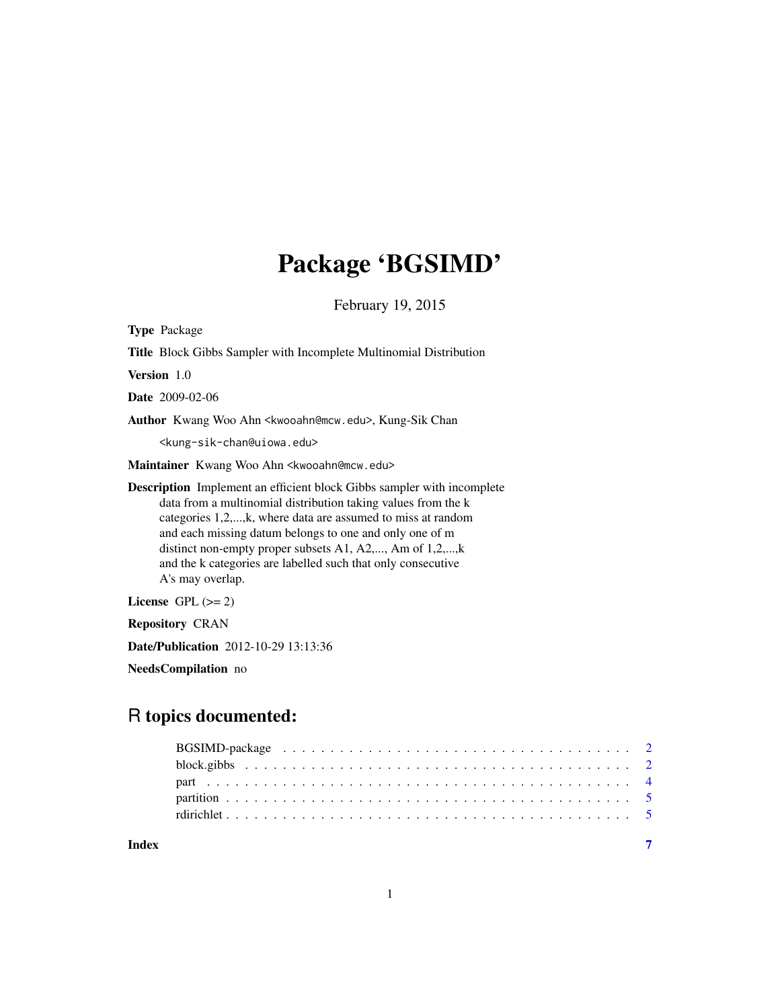# Package 'BGSIMD'

February 19, 2015

<span id="page-0-0"></span>Type Package Title Block Gibbs Sampler with Incomplete Multinomial Distribution Version 1.0 Date 2009-02-06 Author Kwang Woo Ahn <kwooahn@mcw.edu>, Kung-Sik Chan <kung-sik-chan@uiowa.edu> Maintainer Kwang Woo Ahn <kwooahn@mcw.edu> Description Implement an efficient block Gibbs sampler with incomplete data from a multinomial distribution taking values from the k categories 1,2,...,k, where data are assumed to miss at random and each missing datum belongs to one and only one of m distinct non-empty proper subsets A1, A2,..., Am of 1,2,...,k and the k categories are labelled such that only consecutive A's may overlap. License GPL  $(>= 2)$ Repository CRAN

Date/Publication 2012-10-29 13:13:36

NeedsCompilation no

## R topics documented:

| Index |  |
|-------|--|

1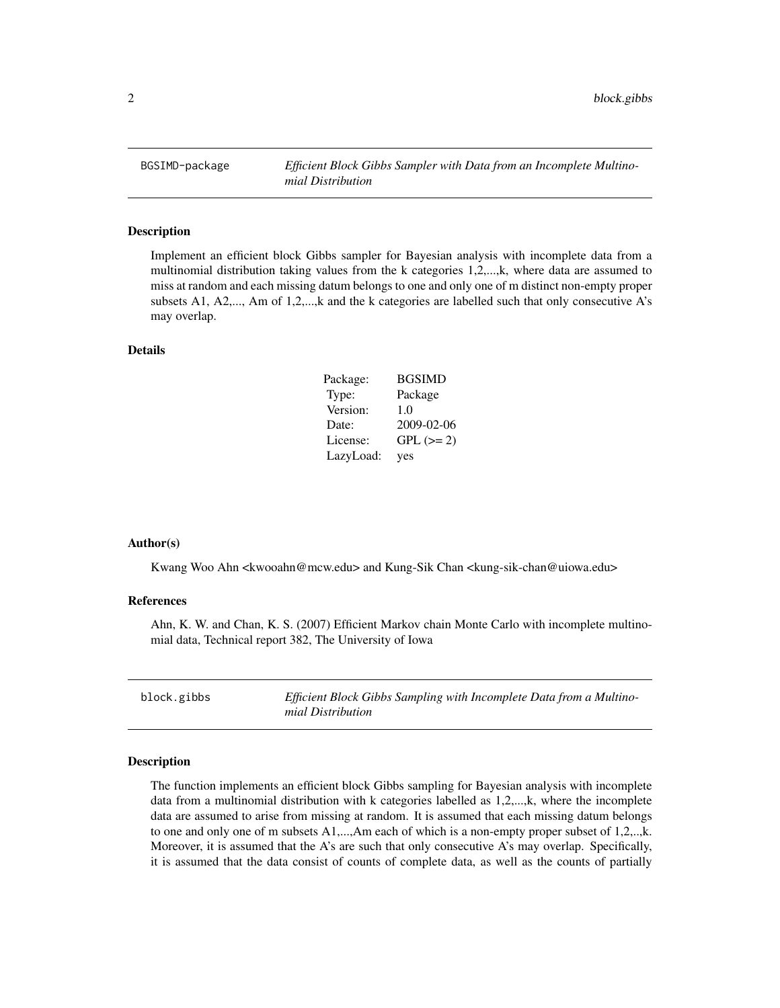<span id="page-1-0"></span>BGSIMD-package *Efficient Block Gibbs Sampler with Data from an Incomplete Multinomial Distribution*

#### Description

Implement an efficient block Gibbs sampler for Bayesian analysis with incomplete data from a multinomial distribution taking values from the k categories 1,2,...,k, where data are assumed to miss at random and each missing datum belongs to one and only one of m distinct non-empty proper subsets A1, A2,..., Am of 1,2,...,k and the k categories are labelled such that only consecutive A's may overlap.

#### Details

| Package:  | <b>BGSIMD</b> |  |
|-----------|---------------|--|
| Type:     | Package       |  |
| Version:  | 1.0           |  |
| Date:     | 2009-02-06    |  |
| License:  | $GPL (= 2)$   |  |
| LazyLoad: | yes           |  |

#### Author(s)

Kwang Woo Ahn <kwooahn@mcw.edu> and Kung-Sik Chan <kung-sik-chan@uiowa.edu>

#### References

Ahn, K. W. and Chan, K. S. (2007) Efficient Markov chain Monte Carlo with incomplete multinomial data, Technical report 382, The University of Iowa

<span id="page-1-1"></span>

| block.gibbs | Efficient Block Gibbs Sampling with Incomplete Data from a Multino- |
|-------------|---------------------------------------------------------------------|
|             | mial Distribution                                                   |

#### Description

The function implements an efficient block Gibbs sampling for Bayesian analysis with incomplete data from a multinomial distribution with k categories labelled as 1,2,...,k, where the incomplete data are assumed to arise from missing at random. It is assumed that each missing datum belongs to one and only one of m subsets A1,...,Am each of which is a non-empty proper subset of 1,2,..,k. Moreover, it is assumed that the A's are such that only consecutive A's may overlap. Specifically, it is assumed that the data consist of counts of complete data, as well as the counts of partially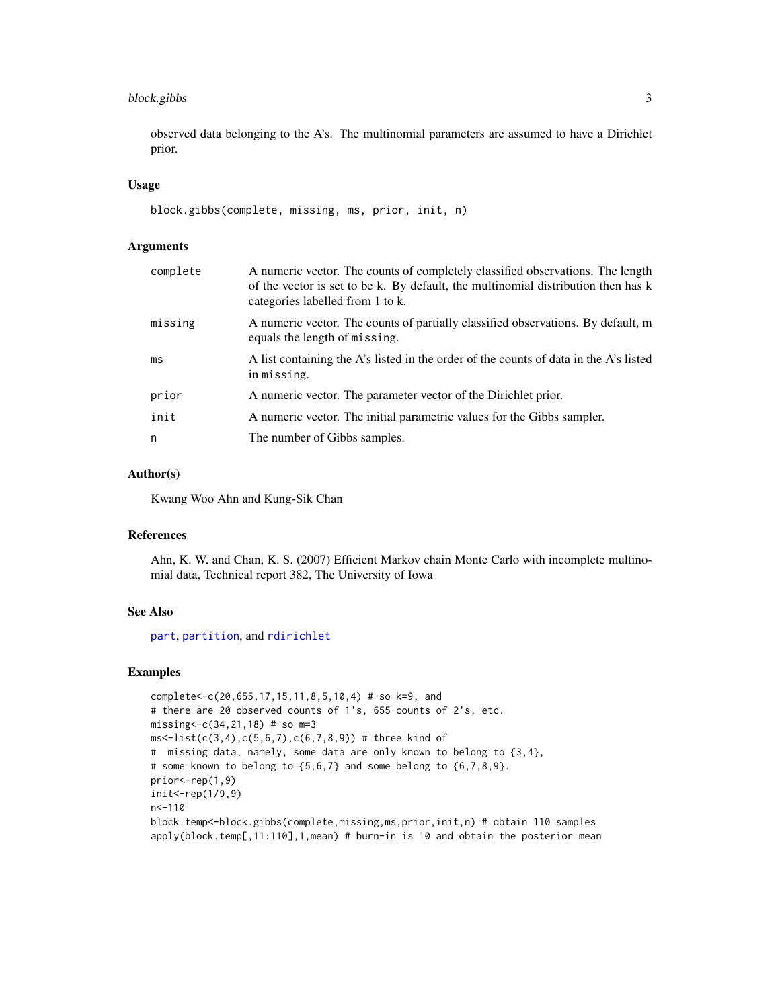#### <span id="page-2-0"></span>block.gibbs 3

observed data belonging to the A's. The multinomial parameters are assumed to have a Dirichlet prior.

#### Usage

```
block.gibbs(complete, missing, ms, prior, init, n)
```
#### **Arguments**

| complete | A numeric vector. The counts of completely classified observations. The length<br>of the vector is set to be k. By default, the multinomial distribution then has k<br>categories labelled from 1 to k. |
|----------|---------------------------------------------------------------------------------------------------------------------------------------------------------------------------------------------------------|
| missing  | A numeric vector. The counts of partially classified observations. By default, m<br>equals the length of missing.                                                                                       |
| ms       | A list containing the A's listed in the order of the counts of data in the A's listed<br>in missing.                                                                                                    |
| prior    | A numeric vector. The parameter vector of the Dirichlet prior.                                                                                                                                          |
| init     | A numeric vector. The initial parametric values for the Gibbs sampler.                                                                                                                                  |
| n        | The number of Gibbs samples.                                                                                                                                                                            |

#### Author(s)

Kwang Woo Ahn and Kung-Sik Chan

#### References

Ahn, K. W. and Chan, K. S. (2007) Efficient Markov chain Monte Carlo with incomplete multinomial data, Technical report 382, The University of Iowa

#### See Also

[part](#page-3-1), [partition](#page-4-1), and [rdirichlet](#page-4-2)

#### Examples

```
complete<-c(20,655,17,15,11,8,5,10,4) # so k=9, and
# there are 20 observed counts of 1's, 655 counts of 2's, etc.
missing<-c(34,21,18) # so m=3
ms < -list(c(3, 4), c(5, 6, 7), c(6, 7, 8, 9)) # three kind of
# missing data, namely, some data are only known to belong to {3,4},
# some known to belong to \{5,6,7\} and some belong to \{6,7,8,9\}.
prior<-rep(1,9)
init<-rep(1/9,9)
n < -110block.temp<-block.gibbs(complete,missing,ms,prior,init,n) # obtain 110 samples
apply(block.temp[,11:110],1,mean) # burn-in is 10 and obtain the posterior mean
```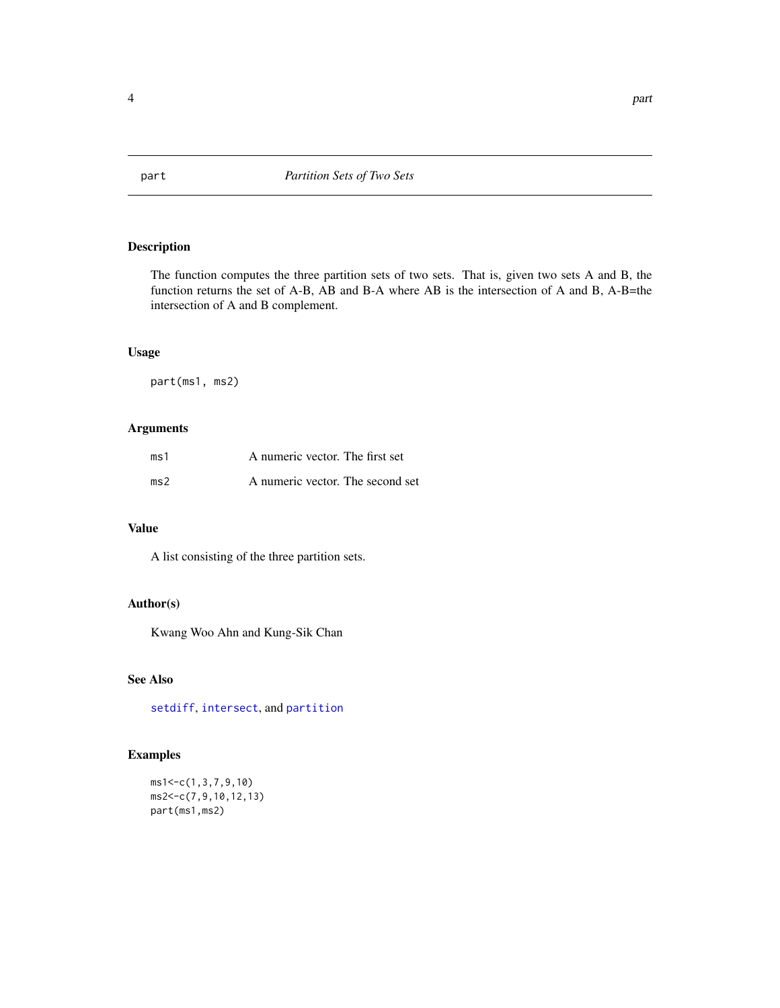#### <span id="page-3-1"></span><span id="page-3-0"></span>Description

The function computes the three partition sets of two sets. That is, given two sets A and B, the function returns the set of A-B, AB and B-A where AB is the intersection of A and B, A-B=the intersection of A and B complement.

#### Usage

part(ms1, ms2)

#### Arguments

| ms1 | A numeric vector. The first set  |  |
|-----|----------------------------------|--|
| ms2 | A numeric vector. The second set |  |

#### Value

A list consisting of the three partition sets.

#### Author(s)

Kwang Woo Ahn and Kung-Sik Chan

#### See Also

[setdiff](#page-0-0), [intersect](#page-0-0), and [partition](#page-4-1)

#### Examples

ms1<-c(1,3,7,9,10) ms2<-c(7,9,10,12,13) part(ms1,ms2)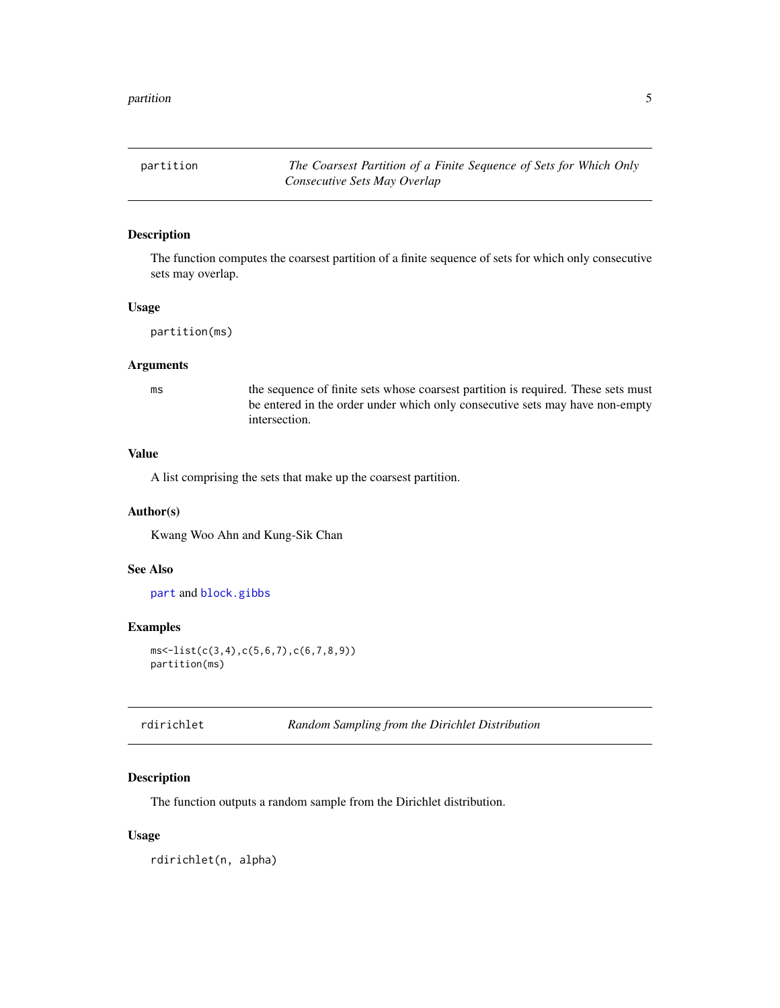<span id="page-4-1"></span><span id="page-4-0"></span>partition *The Coarsest Partition of a Finite Sequence of Sets for Which Only Consecutive Sets May Overlap*

#### Description

The function computes the coarsest partition of a finite sequence of sets for which only consecutive sets may overlap.

#### Usage

```
partition(ms)
```
#### Arguments

ms the sequence of finite sets whose coarsest partition is required. These sets must be entered in the order under which only consecutive sets may have non-empty intersection.

#### Value

A list comprising the sets that make up the coarsest partition.

#### Author(s)

Kwang Woo Ahn and Kung-Sik Chan

#### See Also

[part](#page-3-1) and [block.gibbs](#page-1-1)

#### Examples

```
ms<-list(c(3,4),c(5,6,7),c(6,7,8,9))
partition(ms)
```
<span id="page-4-2"></span>

| rdirichlet | Random Sampling from the Dirichlet Distribution |  |
|------------|-------------------------------------------------|--|
|------------|-------------------------------------------------|--|

#### Description

The function outputs a random sample from the Dirichlet distribution.

#### Usage

rdirichlet(n, alpha)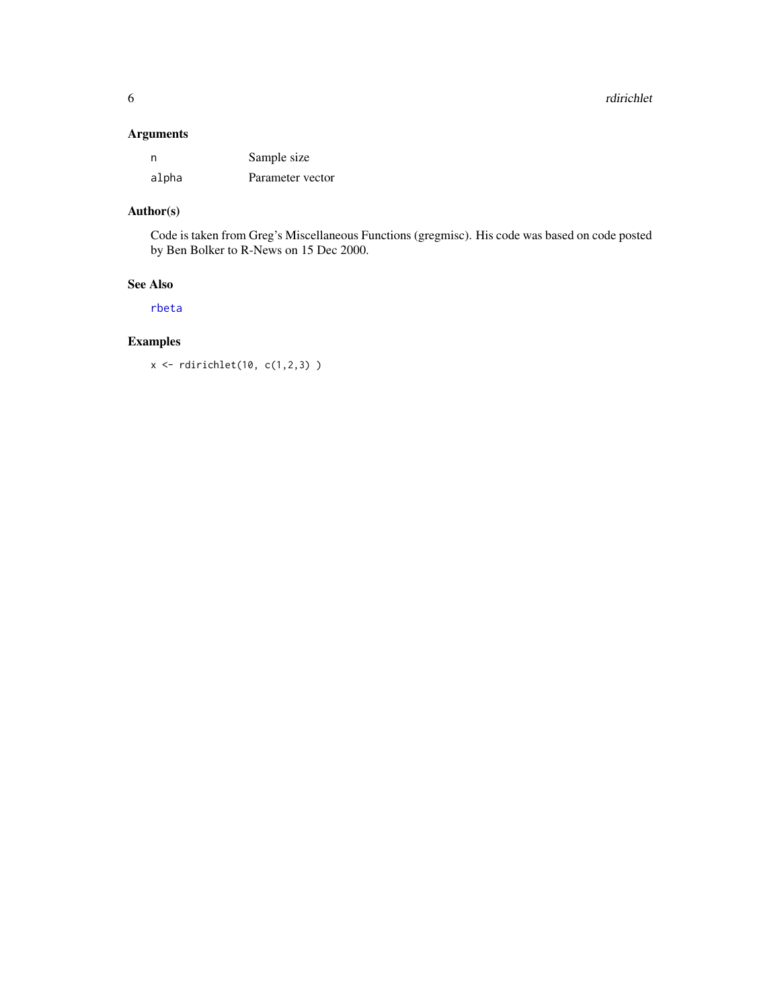## <span id="page-5-0"></span>Arguments

| n     | Sample size      |
|-------|------------------|
| alpha | Parameter vector |

## Author(s)

Code is taken from Greg's Miscellaneous Functions (gregmisc). His code was based on code posted by Ben Bolker to R-News on 15 Dec 2000.

#### See Also

[rbeta](#page-0-0)

## Examples

x <- rdirichlet(10, c(1,2,3) )